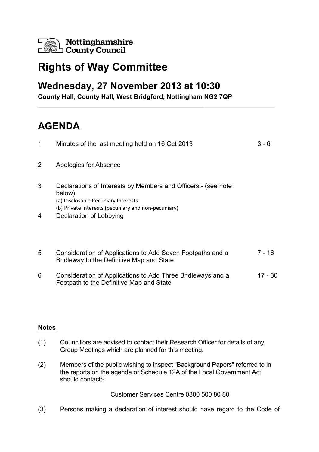

## **Rights of Way Committee**

## **Wednesday, 27 November 2013 at 10:30**

**County Hall**, **County Hall, West Bridgford, Nottingham NG2 7QP**

## **AGENDA**

| 1              | Minutes of the last meeting held on 16 Oct 2013                                                                                                                       | 3 - 6     |
|----------------|-----------------------------------------------------------------------------------------------------------------------------------------------------------------------|-----------|
| $\overline{2}$ | Apologies for Absence                                                                                                                                                 |           |
| 3              | Declarations of Interests by Members and Officers:- (see note<br>below)<br>(a) Disclosable Pecuniary Interests<br>(b) Private Interests (pecuniary and non-pecuniary) |           |
| 4              | Declaration of Lobbying                                                                                                                                               |           |
| 5              | Consideration of Applications to Add Seven Footpaths and a<br>Bridleway to the Definitive Map and State                                                               | $7 - 16$  |
| 6              | Consideration of Applications to Add Three Bridleways and a<br>Footpath to the Definitive Map and State                                                               | $17 - 30$ |
|                |                                                                                                                                                                       |           |

## **Notes**

- (1) Councillors are advised to contact their Research Officer for details of any Group Meetings which are planned for this meeting.
- (2) Members of the public wishing to inspect "Background Papers" referred to in the reports on the agenda or Schedule 12A of the Local Government Act should contact:-

Customer Services Centre 0300 500 80 80

(3) Persons making a declaration of interest should have regard to the Code of